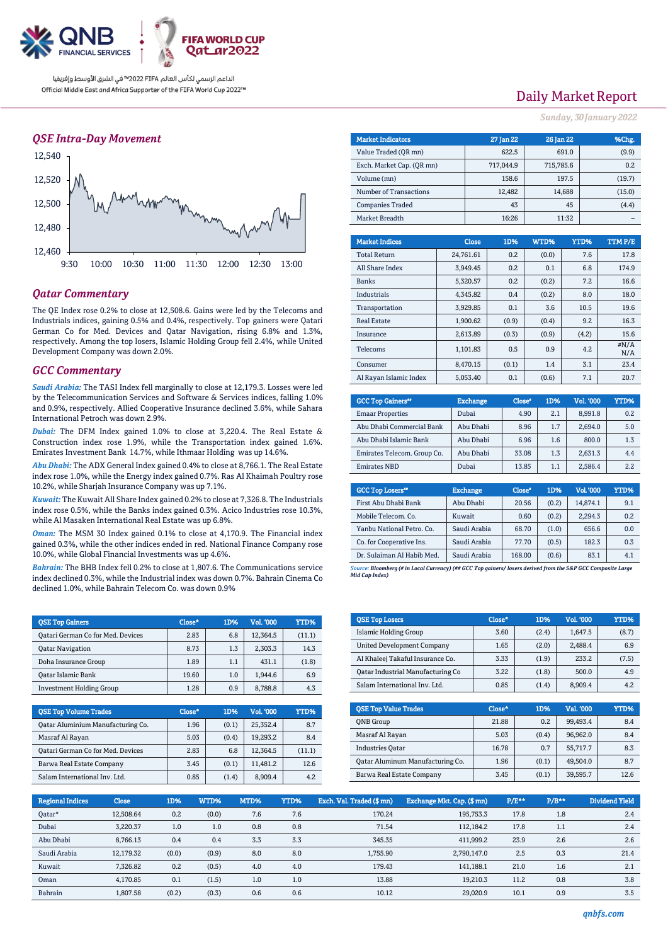

## *QSE Intra-Day Movement*



## *Qatar Commentary*

The QE Index rose 0.2% to close at 12,508.6. Gains were led by the Telecoms and Industrials indices, gaining 0.5% and 0.4%, respectively. Top gainers were Qatari German Co for Med. Devices and Qatar Navigation, rising 6.8% and 1.3%, respectively. Among the top losers, Islamic Holding Group fell 2.4%, while United Development Company was down 2.0%.

### *GCC Commentary*

*Saudi Arabia:* The TASI Index fell marginally to close at 12,179.3. Losses were led by the Telecommunication Services and Software & Services indices, falling 1.0% and 0.9%, respectively. Allied Cooperative Insurance declined 3.6%, while Sahara International Petroch was down 2.9%.

*Dubai:* The DFM Index gained 1.0% to close at 3,220.4. The Real Estate & Construction index rose 1.9%, while the Transportation index gained 1.6%. Emirates Investment Bank 14.7%, while Ithmaar Holding was up 14.6%.

*Abu Dhabi:* The ADX General Index gained 0.4% to close at 8,766.1. The Real Estate index rose 1.0%, while the Energy index gained 0.7%. Ras Al Khaimah Poultry rose 10.2%, while Sharjah Insurance Company was up 7.1%.

*Kuwait:* The Kuwait All Share Index gained 0.2% to close at 7,326.8. The Industrials index rose 0.5%, while the Banks index gained 0.3%. Acico Industries rose 10.3%, while Al Masaken International Real Estate was up 6.8%.

*Oman:* The MSM 30 Index gained 0.1% to close at 4,170.9. The Financial index gained 0.3%, while the other indices ended in red. National Finance Company rose 10.0%, while Global Financial Investments was up 4.6%.

*Bahrain:* The BHB Index fell 0.2% to close at 1,807.6. The Communications service index declined 0.3%, while the Industrial index was down 0.7%. Bahrain Cinema Co declined 1.0%, while Bahrain Telecom Co. was down 0.9%

| <b>QSE Top Gainers</b>            | Close* | 1D% | Vol. '000 | YTD%   |
|-----------------------------------|--------|-----|-----------|--------|
| Qatari German Co for Med. Devices | 2.83   | 6.8 | 12.364.5  | (11.1) |
| <b>Oatar Navigation</b>           | 8.73   | 1.3 | 2,303.3   | 14.3   |
| Doha Insurance Group              | 1.89   | 1.1 | 431.1     | (1.8)  |
| Oatar Islamic Bank                | 19.60  | 1.0 | 1.944.6   | 6.9    |
| <b>Investment Holding Group</b>   | 1.28   | 0.9 | 8.788.8   | 4.3    |

| <b>OSE Top Volume Trades</b>             | Close* | 1D <sub>%</sub> | Vol. '000 | YTD%   |
|------------------------------------------|--------|-----------------|-----------|--------|
| <b>Qatar Aluminium Manufacturing Co.</b> | 1.96   | (0.1)           | 25.352.4  | 8.7    |
| Masraf Al Rayan                          | 5.03   | (0.4)           | 19.293.2  | 8.4    |
| Qatari German Co for Med. Devices        | 2.83   | 6.8             | 12.364.5  | (11.1) |
| Barwa Real Estate Company                | 3.45   | (0.1)           | 11.481.2  | 12.6   |
| Salam International Inv. Ltd.            | 0.85   | (1.4)           | 8.909.4   | 4.2    |

# Daily Market Report

*Sunday, 30January 2022*

| <b>Market Indicators</b>  |       | 27 Jan 22    | 26 Jan 22 |           | %Chg.  |         |  |
|---------------------------|-------|--------------|-----------|-----------|--------|---------|--|
| Value Traded (OR mn)      | 622.5 |              | 691.0     |           | (9.9)  |         |  |
| Exch. Market Cap. (QR mn) |       |              | 717,044.9 | 715,785.6 |        | 0.2     |  |
| Volume (mn)               |       |              | 158.6     |           | 197.5  | (19.7)  |  |
| Number of Transactions    |       |              | 12,482    |           | 14,688 | (15.0)  |  |
| <b>Companies Traded</b>   |       | 43           |           | 45        | (4.4)  |         |  |
| Market Breadth            |       | 16:26        |           |           | 11:32  |         |  |
|                           |       |              |           |           |        |         |  |
| <b>Market Indices</b>     |       | <b>Close</b> | 1D%       | WTD%      | YTD%   | TTM P/E |  |
| <b>Total Return</b>       |       | 24,761.61    | 0.2       | (0.0)     | 7.6    | 17.8    |  |
| All Share Index           |       |              |           |           |        |         |  |
|                           |       | 3,949.45     | 0.2       | 0.1       | 6.8    | 174.9   |  |
| <b>Banks</b>              |       | 5,320.57     | 0.2       | (0.2)     | 7.2    | 16.6    |  |
| Industrials               |       | 4,345.82     | 0.4       | (0.2)     | 8.0    | 18.0    |  |
| Transportation            |       | 3,929.85     | 0.1       | 3.6       | 10.5   | 19.6    |  |
| <b>Real Estate</b>        |       | 1,900.62     | (0.9)     | (0.4)     | 9.2    | 16.3    |  |

| Insurance              | 2.613.89 | (0.3) | (0.9) | (4.2) | 15.6           |
|------------------------|----------|-------|-------|-------|----------------|
| Telecoms               | 1.101.83 | 0.5   | 0.9   | 4.2   | $\#N/A$<br>N/A |
| Consumer               | 8.470.15 | (0.1) | 1.4   | 3.1   | 23.4           |
| Al Rayan Islamic Index | 5.053.40 | 0.1   | (0.6) | 7.1   | 20.7           |

| <b>GCC Top Gainers</b> <sup>60</sup> | <b>Exchange</b> | Close <sup>®</sup> | 1D% | Vol. '000 | YTD% |
|--------------------------------------|-----------------|--------------------|-----|-----------|------|
| <b>Emaar Properties</b>              | Dubai           | 4.90               | 2.1 | 8.991.8   | 0.2  |
| Abu Dhabi Commercial Bank            | Abu Dhabi       | 8.96               | 1.7 | 2.694.0   | 5.0  |
| Abu Dhabi Islamic Bank               | Abu Dhabi       | 6.96               | 1.6 | 800.0     | 1.3  |
| Emirates Telecom. Group Co.          | Abu Dhabi       | 33.08              | 1.3 | 2,631.3   | 4.4  |
| <b>Emirates NBD</b>                  | Dubai           | 13.85              | 1.1 | 2.586.4   | 2.2  |

| <b>GCC Top Losers</b>      | <b>Exchange</b> | Close <sup>s</sup> | 1D%   | <b>Vol. '000</b> | YTD% |
|----------------------------|-----------------|--------------------|-------|------------------|------|
| First Abu Dhabi Bank       | Abu Dhabi       | 20.56              | (0.2) | 14.874.1         | 9.1  |
| Mobile Telecom, Co.        | Kuwait          | 0.60               | (0.2) | 2.294.3          | 0.2  |
| Yanbu National Petro, Co.  | Saudi Arabia    | 68.70              | (1.0) | 656.6            | 0.0  |
| Co. for Cooperative Ins.   | Saudi Arabia    | 77.70              | (0.5) | 182.3            | 0.3  |
| Dr. Sulaiman Al Habib Med. | Saudi Arabia    | 168.00             | (0.6) | 83.1             | 4.1  |
| __ _ _ _ _ _ _             |                 |                    |       |                  |      |

*Source: Bloomberg (# in Local Currency) (## GCC Top gainers/ losers derived from the S&P GCC Composite Large Mid Cap Index)*

| <b>OSE Top Losers</b>                    | Close* | 1D%   | Vol. '000 | YTD%  |
|------------------------------------------|--------|-------|-----------|-------|
| Islamic Holding Group                    | 3.60   | (2.4) | 1.647.5   | (8.7) |
| <b>United Development Company</b>        | 1.65   | (2.0) | 2.488.4   | 6.9   |
| Al Khaleej Takaful Insurance Co.         | 3.33   | (1.9) | 233.2     | (7.5) |
| <b>Qatar Industrial Manufacturing Co</b> | 3.22   | (1.8) | 500.0     | 4.9   |
| Salam International Inv. Ltd.            | 0.85   | (1.4) | 8.909.4   | 4.2   |

| <b>QSE Top Value Trades</b>      | Close* | 1D%   | Val. '000 | YTD% |
|----------------------------------|--------|-------|-----------|------|
| <b>ONB</b> Group                 | 21.88  | 0.2   | 99,493.4  | 8.4  |
| Masraf Al Rayan                  | 5.03   | (0.4) | 96.962.0  | 8.4  |
| <b>Industries Oatar</b>          | 16.78  | 0.7   | 55,717.7  | 8.3  |
| Oatar Aluminum Manufacturing Co. | 1.96   | (0.1) | 49.504.0  | 8.7  |
| Barwa Real Estate Company        | 3.45   | (0.1) | 39,595.7  | 12.6 |

| <b>Regional Indices</b> | <b>Close</b> | 1D%   | WTD%  | MTD% | YTD% | Exch. Val. Traded (\$mn) | Exchange Mkt. Cap. (\$mn) | P/E** | $P/B**$ | Dividend Yield |
|-------------------------|--------------|-------|-------|------|------|--------------------------|---------------------------|-------|---------|----------------|
| Oatar*                  | 12.508.64    | 0.2   | (0.0) | 7.6  | 7.6  | 170.24                   | 195.753.3                 | 17.8  | 1.8     | 2.4            |
| Dubai                   | 3.220.37     | 1.0   | 1.0   | 0.8  | 0.8  | 71.54                    | 112.184.2                 | 17.8  | 1.1     | 2.4            |
| Abu Dhabi               | 8.766.13     | 0.4   | 0.4   | 3.3  | 3.3  | 345.35                   | 411.999.2                 | 23.9  | 2.6     | 2.6            |
| Saudi Arabia            | 12.179.32    | (0.0) | (0.9) | 8.0  | 8.0  | 1.755.90                 | 2.790.147.0               | 2.5   | 0.3     | 21.4           |
| Kuwait                  | 7.326.82     | 0.2   | (0.5) | 4.0  | 4.0  | 179.43                   | 141.188.1                 | 21.0  | 1.6     | 2.1            |
| Oman                    | 4.170.85     | 0.1   | (1.5) | 1.0  | 1.0  | 13.88                    | 19.210.3                  | 11.2  | 0.8     | 3.8            |
| Bahrain                 | 1.807.58     | (0.2) | (0.3) | 0.6  | 0.6  | 10.12                    | 29,020.9                  | 10.1  | 0.9     | 3.5            |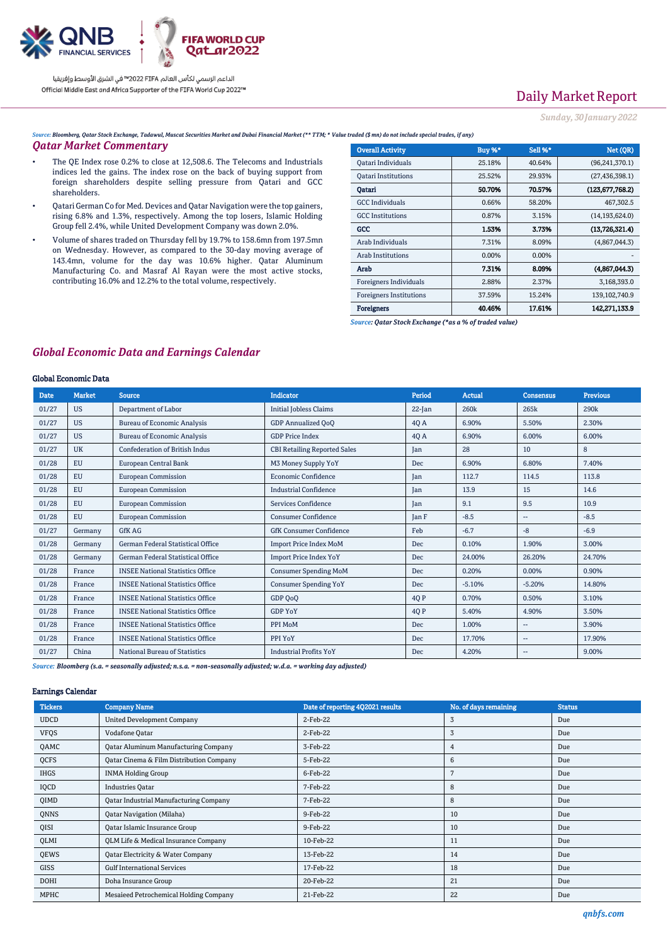

# Daily Market Report

*Sunday, 30January 2022*

*Source: Bloomberg, Qatar Stock Exchange, Tadawul, Muscat Securities Market and Dubai Financial Market (\*\* TTM; \* Value traded (\$ mn) do not include special trades, if any)*

#### *Qatar Market Commentary*

- The QE Index rose 0.2% to close at 12,508.6. The Telecoms and Industrials indices led the gains. The index rose on the back of buying support from foreign shareholders despite selling pressure from Qatari and GCC shareholders.
- Qatari German Co for Med. Devices and Qatar Navigation were the top gainers, rising 6.8% and 1.3%, respectively. Among the top losers, Islamic Holding Group fell 2.4%, while United Development Company was down 2.0%.
- Volume of shares traded on Thursday fell by 19.7% to 158.6mn from 197.5mn on Wednesday. However, as compared to the 30-day moving average of 143.4mn, volume for the day was 10.6% higher. Qatar Aluminum Manufacturing Co. and Masraf Al Rayan were the most active stocks, contributing 16.0% and 12.2% to the total volume, respectively.

| <b>Overall Activity</b>        | <b>Buy %*</b> | Sell %* | Net (QR)          |
|--------------------------------|---------------|---------|-------------------|
| Qatari Individuals             | 25.18%        | 40.64%  | (96, 241, 370.1)  |
| <b>Oatari Institutions</b>     | 25.52%        | 29.93%  | (27, 436, 398.1)  |
| Qatari                         | 50.70%        | 70.57%  | (123, 677, 768.2) |
| <b>GCC</b> Individuals         | 0.66%         | 58.20%  | 467,302.5         |
| <b>GCC</b> Institutions        | 0.87%         | 3.15%   | (14, 193, 624.0)  |
| GCC                            | 1.53%         | 3.73%   | (13,726,321.4)    |
| Arab Individuals               | 7.31%         | 8.09%   | (4,867,044.3)     |
| <b>Arab Institutions</b>       | $0.00\%$      | 0.00%   |                   |
| Arab                           | 7.31%         | 8.09%   | (4,867,044.3)     |
| Foreigners Individuals         | 2.88%         | 2.37%   | 3,168,393.0       |
| <b>Foreigners Institutions</b> | 37.59%        | 15.24%  | 139, 102, 740.9   |
| <b>Foreigners</b>              | 40.46%        | 17.61%  | 142,271,133.9     |

*Source: Qatar Stock Exchange (\*as a % of traded value)*

### *Global Economic Data and Earnings Calendar*

### Global Economic Data

| <b>Date</b> | <b>Market</b> | <b>Source</b>                           | <b>Indicator</b>                    | Period       | <b>Actual</b>    | <b>Consensus</b> | <b>Previous</b>  |
|-------------|---------------|-----------------------------------------|-------------------------------------|--------------|------------------|------------------|------------------|
| 01/27       | <b>US</b>     | Department of Labor                     | <b>Initial Jobless Claims</b>       | $22$ -Jan    | 260 <sub>k</sub> | 265k             | 290 <sub>k</sub> |
| 01/27       | <b>US</b>     | <b>Bureau of Economic Analysis</b>      | GDP Annualized OoO                  | 40 A         | 6.90%            | 5.50%            | 2.30%            |
| 01/27       | <b>US</b>     | <b>Bureau of Economic Analysis</b>      | <b>GDP Price Index</b>              | 4Q A         | 6.90%            | 6.00%            | 6.00%            |
| 01/27       | <b>UK</b>     | <b>Confederation of British Indus</b>   | <b>CBI Retailing Reported Sales</b> | <b>Tan</b>   | 28               | 10               | 8                |
| 01/28       | <b>EU</b>     | European Central Bank                   | M3 Money Supply YoY                 | Dec          | 6.90%            | 6.80%            | 7.40%            |
| 01/28       | <b>EU</b>     | <b>European Commission</b>              | Economic Confidence                 | Jan          | 112.7            | 114.5            | 113.8            |
| 01/28       | EU            | <b>European Commission</b>              | <b>Industrial Confidence</b>        | Jan          | 13.9             | 15               | 14.6             |
| 01/28       | <b>EU</b>     | <b>European Commission</b>              | Services Confidence                 | Jan          | 9.1              | 9.5              | 10.9             |
| 01/28       | <b>EU</b>     | <b>European Commission</b>              | <b>Consumer Confidence</b>          | <b>Tan F</b> | $-8.5$           | --               | $-8.5$           |
| 01/27       | Germany       | <b>GfK AG</b>                           | <b>GfK Consumer Confidence</b>      | Feb          | $-6.7$           | $-8$             | $-6.9$           |
| 01/28       | Germany       | German Federal Statistical Office       | <b>Import Price Index MoM</b>       | Dec          | 0.10%            | 1.90%            | 3.00%            |
| 01/28       | Germany       | German Federal Statistical Office       | <b>Import Price Index YoY</b>       | Dec          | 24.00%           | 26.20%           | 24.70%           |
| 01/28       | France        | <b>INSEE National Statistics Office</b> | <b>Consumer Spending MoM</b>        | Dec          | 0.20%            | 0.00%            | 0.90%            |
| 01/28       | France        | <b>INSEE National Statistics Office</b> | <b>Consumer Spending YoY</b>        | Dec          | $-5.10%$         | $-5.20%$         | 14.80%           |
| 01/28       | France        | <b>INSEE National Statistics Office</b> | GDP QoQ                             | 4Q P         | 0.70%            | 0.50%            | 3.10%            |
| 01/28       | France        | <b>INSEE National Statistics Office</b> | <b>GDP YoY</b>                      | 4Q P         | 5.40%            | 4.90%            | 3.50%            |
| 01/28       | France        | <b>INSEE National Statistics Office</b> | PPI MoM                             | Dec          | 1.00%            | --               | 3.90%            |
| 01/28       | France        | <b>INSEE National Statistics Office</b> | PPI YoY                             | Dec          | 17.70%           | --               | 17.90%           |
| 01/27       | China         | National Bureau of Statistics           | <b>Industrial Profits YoY</b>       | Dec          | 4.20%            | $-$              | 9.00%            |

*Source: Bloomberg (s.a. = seasonally adjusted; n.s.a. = non-seasonally adjusted; w.d.a. = working day adjusted)*

#### Earnings Calendar

| <b>Tickers</b> | <b>Company Name</b>                           | Date of reporting 4Q2021 results | No. of days remaining | <b>Status</b> |
|----------------|-----------------------------------------------|----------------------------------|-----------------------|---------------|
|                |                                               |                                  |                       |               |
| <b>UDCD</b>    | <b>United Development Company</b>             | $2$ -Feb-22                      | 3                     | Due           |
| <b>VFQS</b>    | Vodafone Qatar                                | 2-Feb-22                         | 3                     | Due           |
| QAMC           | <b>Qatar Aluminum Manufacturing Company</b>   | 3-Feb-22                         | 4                     | Due           |
| QCFS           | Qatar Cinema & Film Distribution Company      | 5-Feb-22                         | 6                     | Due           |
| <b>IHGS</b>    | <b>INMA Holding Group</b>                     | 6-Feb-22                         | 7                     | Due           |
| IQCD           | <b>Industries Qatar</b>                       | 7-Feb-22                         | 8                     | Due           |
| QIMD           | <b>Qatar Industrial Manufacturing Company</b> | 7-Feb-22                         | 8                     | Due           |
| QNNS           | <b>Qatar Navigation (Milaha)</b>              | 9-Feb-22                         | 10                    | Due           |
| QISI           | Qatar Islamic Insurance Group                 | 9-Feb-22                         | 10                    | Due           |
| QLMI           | QLM Life & Medical Insurance Company          | 10-Feb-22                        | 11                    | Due           |
| QEWS           | Qatar Electricity & Water Company             | 13-Feb-22                        | 14                    | Due           |
| <b>GISS</b>    | <b>Gulf International Services</b>            | 17-Feb-22                        | 18                    | Due           |
| <b>DOHI</b>    | Doha Insurance Group                          | 20-Feb-22                        | 21                    | Due           |
| <b>MPHC</b>    | Mesaieed Petrochemical Holding Company        | 21-Feb-22                        | 22                    | Due           |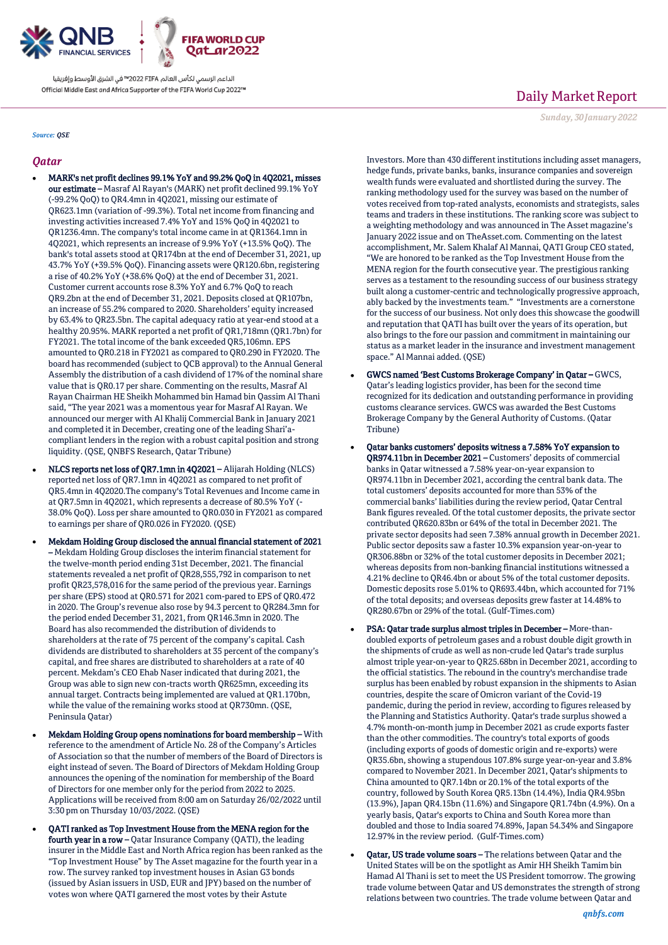

#### *Source: QSE*

#### *Qatar*

- MARK's net profit declines 99.1% YoY and 99.2% QoQ in 4Q2021, misses our estimate – Masraf Al Rayan's (MARK) net profit declined 99.1% YoY (-99.2% QoQ) to QR4.4mn in 4Q2021, missing our estimate of QR623.1mn (variation of -99.3%). Total net income from financing and investing activities increased 7.4% YoY and 15% QoQ in 4Q2021 to QR1236.4mn. The company's total income came in at QR1364.1mn in 4Q2021, which represents an increase of 9.9% YoY (+13.5% QoQ). The bank's total assets stood at QR174bn at the end of December 31, 2021, up 43.7% YoY (+39.5% QoQ). Financing assets were QR120.6bn, registering a rise of 40.2% YoY (+38.6% QoQ) at the end of December 31, 2021. Customer current accounts rose 8.3% YoY and 6.7% QoQ to reach QR9.2bn at the end of December 31, 2021. Deposits closed at QR107bn, an increase of 55.2% compared to 2020. Shareholders' equity increased by 63.4% to QR23.5bn. The capital adequacy ratio at year-end stood at a healthy 20.95%. MARK reported a net profit of QR1,718mn (QR1.7bn) for FY2021. The total income of the bank exceeded QR5,106mn. EPS amounted to QR0.218 in FY2021 as compared to QR0.290 in FY2020. The board has recommended (subject to QCB approval) to the Annual General Assembly the distribution of a cash dividend of 17% of the nominal share value that is QR0.17 per share. Commenting on the results, Masraf Al Rayan Chairman HE Sheikh Mohammed bin Hamad bin Qassim Al Thani said, "The year 2021 was a momentous year for Masraf Al Rayan. We announced our merger with Al Khalij Commercial Bank in January 2021 and completed it in December, creating one of the leading Shari'acompliant lenders in the region with a robust capital position and strong liquidity. (QSE, QNBFS Research, Qatar Tribune)
- NLCS reports net loss of QR7.1mn in 4Q2021 Alijarah Holding (NLCS) reported net loss of QR7.1mn in 4Q2021 as compared to net profit of QR5.4mn in 4Q2020.The company's Total Revenues and Income came in at QR7.5mn in 4Q2021, which represents a decrease of 80.5% YoY (- 38.0% QoQ). Loss per share amounted to QR0.030 in FY2021 as compared to earnings per share of QR0.026 in FY2020. (QSE)
- Mekdam Holding Group disclosed the annual financial statement of 2021 – Mekdam Holding Group discloses the interim financial statement for the twelve-month period ending 31st December, 2021. The financial statements revealed a net profit of QR28,555,792 in comparison to net profit QR23,578,016 for the same period of the previous year. Earnings per share (EPS) stood at QR0.571 for 2021 com-pared to EPS of QR0.472 in 2020. The Group's revenue also rose by 94.3 percent to QR284.3mn for the period ended December 31, 2021, from QR146.3mn in 2020. The Board has also recommended the distribution of dividends to shareholders at the rate of 75 percent of the company's capital. Cash dividends are distributed to shareholders at 35 percent of the company's capital, and free shares are distributed to shareholders at a rate of 40 percent. Mekdam's CEO Ehab Naser indicated that during 2021, the Group was able to sign new con-tracts worth QR625mn, exceeding its annual target. Contracts being implemented are valued at QR1.170bn, while the value of the remaining works stood at QR730mn. (QSE, Peninsula Qatar)
- Mekdam Holding Group opens nominations for board membership With reference to the amendment of Article No. 28 of the Company's Articles of Association so that the number of members of the Board of Directors is eight instead of seven. The Board of Directors of Mekdam Holding Group announces the opening of the nomination for membership of the Board of Directors for one member only for the period from 2022 to 2025. Applications will be received from 8:00 am on Saturday 26/02/2022 until 3:30 pm on Thursday 10/03/2022. (QSE)
- QATI ranked as Top Investment House from the MENA region for the fourth year in a row - Qatar Insurance Company (QATI), the leading insurer in the Middle East and North Africa region has been ranked as the "Top Investment House" by The Asset magazine for the fourth year in a row. The survey ranked top investment houses in Asian G3 bonds (issued by Asian issuers in USD, EUR and JPY) based on the number of votes won where QATI garnered the most votes by their Astute

# Daily Market Report

*Sunday, 30January 2022*

Investors. More than 430 different institutions including asset managers, hedge funds, private banks, banks, insurance companies and sovereign wealth funds were evaluated and shortlisted during the survey. The ranking methodology used for the survey was based on the number of votes received from top-rated analysts, economists and strategists, sales teams and traders in these institutions. The ranking score was subject to a weighting methodology and was announced in The Asset magazine's January 2022 issue and on TheAsset.com. Commenting on the latest accomplishment, Mr. Salem Khalaf Al Mannai, QATI Group CEO stated, "We are honored to be ranked as the Top Investment House from the MENA region for the fourth consecutive year. The prestigious ranking serves as a testament to the resounding success of our business strategy built along a customer-centric and technologically progressive approach, ably backed by the investments team." "Investments are a cornerstone for the success of our business. Not only does this showcase the goodwill and reputation that QATI has built over the years of its operation, but also brings to the fore our passion and commitment in maintaining our status as a market leader in the insurance and investment management space." Al Mannai added. (QSE)

- GWCS named 'Best Customs Brokerage Company' in Qatar GWCS, Qatar's leading logistics provider, has been for the second time recognized for its dedication and outstanding performance in providing customs clearance services. GWCS was awarded the Best Customs Brokerage Company by the General Authority of Customs. (Qatar Tribune)
- Qatar banks customers' deposits witness a 7.58% YoY expansion to QR974.11bn in December 2021 – Customers' deposits of commercial banks in Qatar witnessed a 7.58% year-on-year expansion to QR974.11bn in December 2021, according the central bank data. The total customers' deposits accounted for more than 53% of the commercial banks' liabilities during the review period, Qatar Central Bank figures revealed. Of the total customer deposits, the private sector contributed QR620.83bn or 64% of the total in December 2021. The private sector deposits had seen 7.38% annual growth in December 2021. Public sector deposits saw a faster 10.3% expansion year-on-year to QR306.88bn or 32% of the total customer deposits in December 2021; whereas deposits from non-banking financial institutions witnessed a 4.21% decline to QR46.4bn or about 5% of the total customer deposits. Domestic deposits rose 5.01% to QR693.44bn, which accounted for 71% of the total deposits; and overseas deposits grew faster at 14.48% to QR280.67bn or 29% of the total. (Gulf-Times.com)
- PSA: Qatar trade surplus almost triples in December More-thandoubled exports of petroleum gases and a robust double digit growth in the shipments of crude as well as non-crude led Qatar's trade surplus almost triple year-on-year to QR25.68bn in December 2021, according to the official statistics. The rebound in the country's merchandise trade surplus has been enabled by robust expansion in the shipments to Asian countries, despite the scare of Omicron variant of the Covid-19 pandemic, during the period in review, according to figures released by the Planning and Statistics Authority. Qatar's trade surplus showed a 4.7% month-on-month jump in December 2021 as crude exports faster than the other commodities. The country's total exports of goods (including exports of goods of domestic origin and re-exports) were QR35.6bn, showing a stupendous 107.8% surge year-on-year and 3.8% compared to November 2021. In December 2021, Qatar's shipments to China amounted to QR7.14bn or 20.1% of the total exports of the country, followed by South Korea QR5.13bn (14.4%), India QR4.95bn (13.9%), Japan QR4.15bn (11.6%) and Singapore QR1.74bn (4.9%). On a yearly basis, Qatar's exports to China and South Korea more than doubled and those to India soared 74.89%, Japan 54.34% and Singapore 12.97% in the review period. (Gulf-Times.com)
- Qatar, US trade volume soars The relations between Qatar and the United States will be on the spotlight as Amir HH Sheikh Tamim bin Hamad Al Thani is set to meet the US President tomorrow. The growing trade volume between Qatar and US demonstrates the strength of strong relations between two countries. The trade volume between Qatar and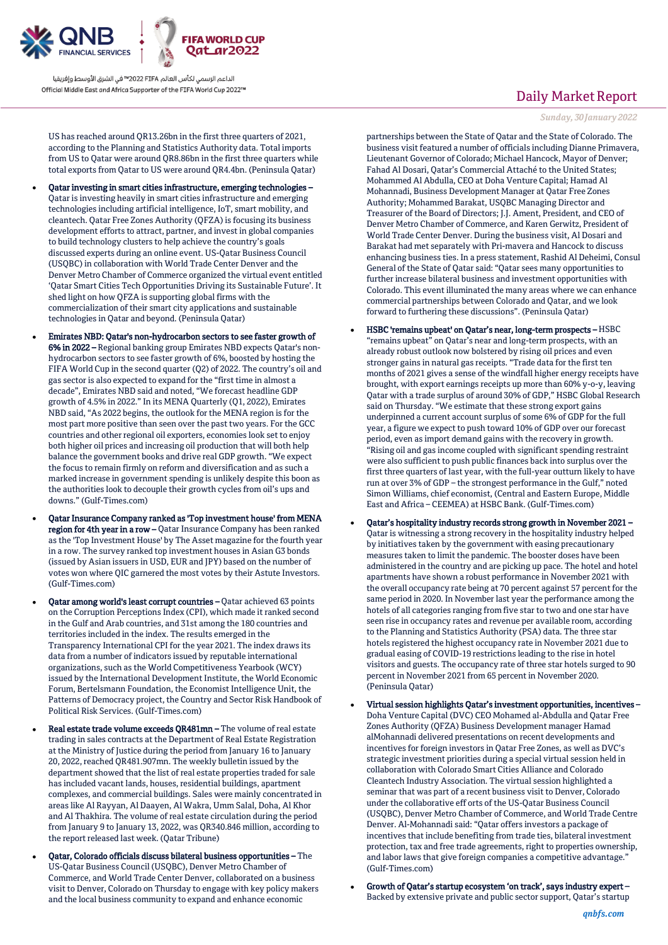

US has reached around QR13.26bn in the first three quarters of 2021, according to the Planning and Statistics Authority data. Total imports from US to Qatar were around QR8.86bn in the first three quarters while total exports from Qatar to US were around QR4.4bn. (Peninsula Qatar)

- Qatar investing in smart cities infrastructure, emerging technologies Qatar is investing heavily in smart cities infrastructure and emerging technologies including artificial intelligence, IoT, smart mobility, and cleantech. Qatar Free Zones Authority (QFZA) is focusing its business development efforts to attract, partner, and invest in global companies to build technology clusters to help achieve the country's goals discussed experts during an online event. US-Qatar Business Council (USQBC) in collaboration with World Trade Center Denver and the Denver Metro Chamber of Commerce organized the virtual event entitled 'Qatar Smart Cities Tech Opportunities Driving its Sustainable Future'. It shed light on how QFZA is supporting global firms with the commercialization of their smart city applications and sustainable technologies in Qatar and beyond. (Peninsula Qatar)
- Emirates NBD: Qatar's non-hydrocarbon sectors to see faster growth of 6% in 2022 – Regional banking group Emirates NBD expects Qatar's nonhydrocarbon sectors to see faster growth of 6%, boosted by hosting the FIFA World Cup in the second quarter (Q2) of 2022. The country's oil and gas sector is also expected to expand for the "first time in almost a decade", Emirates NBD said and noted, "We forecast headline GDP growth of 4.5% in 2022." In its MENA Quarterly (Q1, 2022), Emirates NBD said, "As 2022 begins, the outlook for the MENA region is for the most part more positive than seen over the past two years. For the GCC countries and other regional oil exporters, economies look set to enjoy both higher oil prices and increasing oil production that will both help balance the government books and drive real GDP growth. "We expect the focus to remain firmly on reform and diversification and as such a marked increase in government spending is unlikely despite this boon as the authorities look to decouple their growth cycles from oil's ups and downs." (Gulf-Times.com)
- Qatar Insurance Company ranked as 'Top investment house' from MENA region for 4th year in a row – Qatar Insurance Company has been ranked as the 'Top Investment House' by The Asset magazine for the fourth year in a row. The survey ranked top investment houses in Asian G3 bonds (issued by Asian issuers in USD, EUR and JPY) based on the number of votes won where QIC garnered the most votes by their Astute Investors. (Gulf-Times.com)
- Qatar among world's least corrupt countries Qatar achieved 63 points on the Corruption Perceptions Index (CPI), which made it ranked second in the Gulf and Arab countries, and 31st among the 180 countries and territories included in the index. The results emerged in the Transparency International CPI for the year 2021. The index draws its data from a number of indicators issued by reputable international organizations, such as the World Competitiveness Yearbook (WCY) issued by the International Development Institute, the World Economic Forum, Bertelsmann Foundation, the Economist Intelligence Unit, the Patterns of Democracy project, the Country and Sector Risk Handbook of Political Risk Services. (Gulf-Times.com)
- Real estate trade volume exceeds QR481mn The volume of real estate trading in sales contracts at the Department of Real Estate Registration at the Ministry of Justice during the period from January 16 to January 20, 2022, reached QR481.907mn. The weekly bulletin issued by the department showed that the list of real estate properties traded for sale has included vacant lands, houses, residential buildings, apartment complexes, and commercial buildings. Sales were mainly concentrated in areas like Al Rayyan, Al Daayen, Al Wakra, Umm Salal, Doha, Al Khor and Al Thakhira. The volume of real estate circulation during the period from January 9 to January 13, 2022, was QR340.846 million, according to the report released last week. (Qatar Tribune)
- Qatar, Colorado officials discuss bilateral business opportunities The US-Qatar Business Council (USQBC), Denver Metro Chamber of Commerce, and World Trade Center Denver, collaborated on a business visit to Denver, Colorado on Thursday to engage with key policy makers and the local business community to expand and enhance economic

# Daily Market Report

*Sunday, 30January 2022*

partnerships between the State of Qatar and the State of Colorado. The business visit featured a number of officials including Dianne Primavera, Lieutenant Governor of Colorado; Michael Hancock, Mayor of Denver; Fahad Al Dosari, Qatar's Commercial Attaché to the United States; Mohammed Al Abdulla, CEO at Doha Venture Capital; Hamad Al Mohannadi, Business Development Manager at Qatar Free Zones Authority; Mohammed Barakat, USQBC Managing Director and Treasurer of the Board of Directors; J.J. Ament, President, and CEO of Denver Metro Chamber of Commerce, and Karen Gerwitz, President of World Trade Center Denver. During the business visit, Al Dosari and Barakat had met separately with Pri-mavera and Hancock to discuss enhancing business ties. In a press statement, Rashid Al Deheimi, Consul General of the State of Qatar said: "Qatar sees many opportunities to further increase bilateral business and investment opportunities with Colorado. This event illuminated the many areas where we can enhance commercial partnerships between Colorado and Qatar, and we look forward to furthering these discussions". (Peninsula Qatar)

- HSBC 'remains upbeat' on Qatar's near, long-term prospects HSBC "remains upbeat" on Qatar's near and long-term prospects, with an already robust outlook now bolstered by rising oil prices and even stronger gains in natural gas receipts. "Trade data for the first ten months of 2021 gives a sense of the windfall higher energy receipts have brought, with export earnings receipts up more than 60% y-o-y, leaving Qatar with a trade surplus of around 30% of GDP," HSBC Global Research said on Thursday. "We estimate that these strong export gains underpinned a current account surplus of some 6% of GDP for the full year, a figure we expect to push toward 10% of GDP over our forecast period, even as import demand gains with the recovery in growth. "Rising oil and gas income coupled with significant spending restraint were also sufficient to push public finances back into surplus over the first three quarters of last year, with the full-year outturn likely to have run at over 3% of GDP – the strongest performance in the Gulf," noted Simon Williams, chief economist, (Central and Eastern Europe, Middle East and Africa – CEEMEA) at HSBC Bank. (Gulf-Times.com)
- Qatar's hospitality industry records strong growth in November 2021 Qatar is witnessing a strong recovery in the hospitality industry helped by initiatives taken by the government with easing precautionary measures taken to limit the pandemic. The booster doses have been administered in the country and are picking up pace. The hotel and hotel apartments have shown a robust performance in November 2021 with the overall occupancy rate being at 70 percent against 57 percent for the same period in 2020. In November last year the performance among the hotels of all categories ranging from five star to two and one star have seen rise in occupancy rates and revenue per available room, according to the Planning and Statistics Authority (PSA) data. The three star hotels registered the highest occupancy rate in November 2021 due to gradual easing of COVID-19 restrictions leading to the rise in hotel visitors and guests. The occupancy rate of three star hotels surged to 90 percent in November 2021 from 65 percent in November 2020. (Peninsula Qatar)
- Virtual session highlights Qatar's investment opportunities, incentives Doha Venture Capital (DVC) CEO Mohamed al-Abdulla and Qatar Free Zones Authority (QFZA) Business Development manager Hamad alMohannadi delivered presentations on recent developments and incentives for foreign investors in Qatar Free Zones, as well as DVC's strategic investment priorities during a special virtual session held in collaboration with Colorado Smart Cities Alliance and Colorado Cleantech Industry Association. The virtual session highlighted a seminar that was part of a recent business visit to Denver, Colorado under the collaborative eff orts of the US-Qatar Business Council (USQBC), Denver Metro Chamber of Commerce, and World Trade Centre Denver. Al-Mohannadi said: "Qatar offers investors a package of incentives that include benefiting from trade ties, bilateral investment protection, tax and free trade agreements, right to properties ownership, and labor laws that give foreign companies a competitive advantage." (Gulf-Times.com)
- Growth of Qatar's startup ecosystem 'on track', says industry expert Backed by extensive private and public sector support, Qatar's startup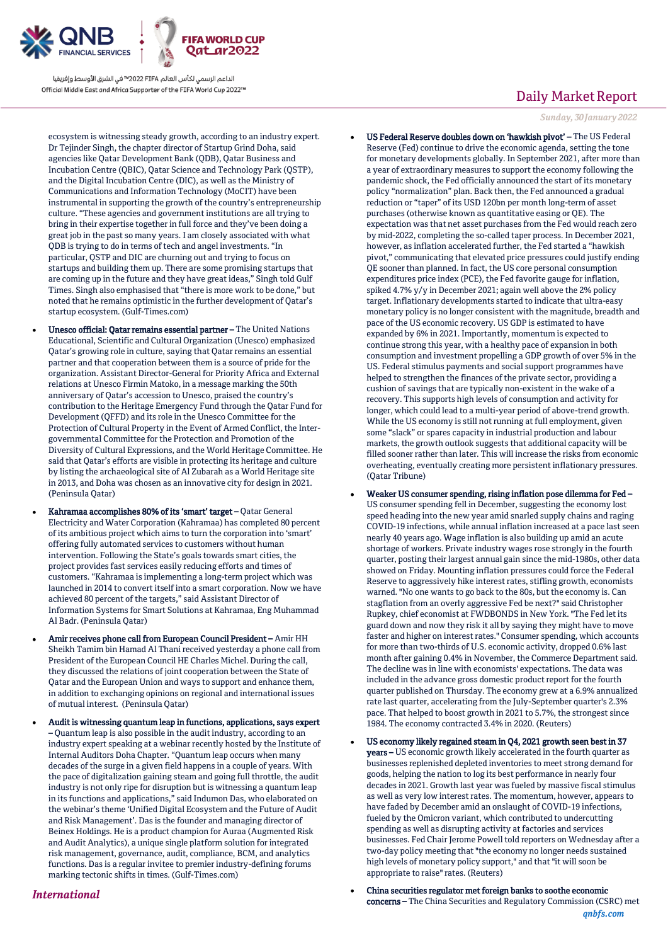

ecosystem is witnessing steady growth, according to an industry expert. Dr Tejinder Singh, the chapter director of Startup Grind Doha, said agencies like Qatar Development Bank (QDB), Qatar Business and Incubation Centre (QBIC), Qatar Science and Technology Park (QSTP), and the Digital Incubation Centre (DIC), as well as the Ministry of Communications and Information Technology (MoCIT) have been instrumental in supporting the growth of the country's entrepreneurship culture. "These agencies and government institutions are all trying to bring in their expertise together in full force and they've been doing a great job in the past so many years. I am closely associated with what QDB is trying to do in terms of tech and angel investments. "In particular, QSTP and DIC are churning out and trying to focus on startups and building them up. There are some promising startups that are coming up in the future and they have great ideas," Singh told Gulf Times. Singh also emphasised that "there is more work to be done," but noted that he remains optimistic in the further development of Qatar's startup ecosystem. (Gulf-Times.com)

- Unesco official: Qatar remains essential partner The United Nations Educational, Scientific and Cultural Organization (Unesco) emphasized Qatar's growing role in culture, saying that Qatar remains an essential partner and that cooperation between them is a source of pride for the organization. Assistant Director-General for Priority Africa and External relations at Unesco Firmin Matoko, in a message marking the 50th anniversary of Qatar's accession to Unesco, praised the country's contribution to the Heritage Emergency Fund through the Qatar Fund for Development (QFFD) and its role in the Unesco Committee for the Protection of Cultural Property in the Event of Armed Conflict, the Intergovernmental Committee for the Protection and Promotion of the Diversity of Cultural Expressions, and the World Heritage Committee. He said that Qatar's efforts are visible in protecting its heritage and culture by listing the archaeological site of Al Zubarah as a World Heritage site in 2013, and Doha was chosen as an innovative city for design in 2021. (Peninsula Qatar)
- Kahramaa accomplishes 80% of its 'smart' target Qatar General Electricity and Water Corporation (Kahramaa) has completed 80 percent of its ambitious project which aims to turn the corporation into 'smart' offering fully automated services to customers without human intervention. Following the State's goals towards smart cities, the project provides fast services easily reducing efforts and times of customers. "Kahramaa is implementing a long-term project which was launched in 2014 to convert itself into a smart corporation. Now we have achieved 80 percent of the targets," said Assistant Director of Information Systems for Smart Solutions at Kahramaa, Eng Muhammad Al Badr. (Peninsula Qatar)
- Amir receives phone call from European Council President Amir HH Sheikh Tamim bin Hamad Al Thani received yesterday a phone call from President of the European Council HE Charles Michel. During the call, they discussed the relations of joint cooperation between the State of Qatar and the European Union and ways to support and enhance them, in addition to exchanging opinions on regional and international issues of mutual interest. (Peninsula Qatar)
- Audit is witnessing quantum leap in functions, applications, says expert – Quantum leap is also possible in the audit industry, according to an industry expert speaking at a webinar recently hosted by the Institute of Internal Auditors Doha Chapter. "Quantum leap occurs when many decades of the surge in a given field happens in a couple of years. With the pace of digitalization gaining steam and going full throttle, the audit industry is not only ripe for disruption but is witnessing a quantum leap in its functions and applications," said Indumon Das, who elaborated on the webinar's theme 'Unified Digital Ecosystem and the Future of Audit and Risk Management'. Das is the founder and managing director of Beinex Holdings. He is a product champion for Auraa (Augmented Risk and Audit Analytics), a unique single platform solution for integrated risk management, governance, audit, compliance, BCM, and analytics functions. Das is a regular invitee to premier industry-defining forums marking tectonic shifts in times. (Gulf-Times.com)

# Daily Market Report

*Sunday, 30January 2022*

- US Federal Reserve doubles down on 'hawkish pivot' The US Federal Reserve (Fed) continue to drive the economic agenda, setting the tone for monetary developments globally. In September 2021, after more than a year of extraordinary measures to support the economy following the pandemic shock, the Fed officially announced the start of its monetary policy "normalization" plan. Back then, the Fed announced a gradual reduction or "taper" of its USD 120bn per month long-term of asset purchases (otherwise known as quantitative easing or QE). The expectation was that net asset purchases from the Fed would reach zero by mid-2022, completing the so-called taper process. In December 2021, however, as inflation accelerated further, the Fed started a "hawkish pivot," communicating that elevated price pressures could justify ending QE sooner than planned. In fact, the US core personal consumption expenditures price index (PCE), the Fed favorite gauge for inflation, spiked 4.7% y/y in December 2021; again well above the 2% policy target. Inflationary developments started to indicate that ultra-easy monetary policy is no longer consistent with the magnitude, breadth and pace of the US economic recovery. US GDP is estimated to have expanded by 6% in 2021. Importantly, momentum is expected to continue strong this year, with a healthy pace of expansion in both consumption and investment propelling a GDP growth of over 5% in the US. Federal stimulus payments and social support programmes have helped to strengthen the finances of the private sector, providing a cushion of savings that are typically non-existent in the wake of a recovery. This supports high levels of consumption and activity for longer, which could lead to a multi-year period of above-trend growth. While the US economy is still not running at full employment, given some "slack" or spares capacity in industrial production and labour markets, the growth outlook suggests that additional capacity will be filled sooner rather than later. This will increase the risks from economic overheating, eventually creating more persistent inflationary pressures. (Qatar Tribune)
- Weaker US consumer spending, rising inflation pose dilemma for Fed US consumer spending fell in December, suggesting the economy lost speed heading into the new year amid snarled supply chains and raging COVID-19 infections, while annual inflation increased at a pace last seen nearly 40 years ago. Wage inflation is also building up amid an acute shortage of workers. Private industry wages rose strongly in the fourth quarter, posting their largest annual gain since the mid-1980s, other data showed on Friday. Mounting inflation pressures could force the Federal Reserve to aggressively hike interest rates, stifling growth, economists warned. "No one wants to go back to the 80s, but the economy is. Can stagflation from an overly aggressive Fed be next?" said Christopher Rupkey, chief economist at FWDBONDS in New York. "The Fed let its guard down and now they risk it all by saying they might have to move faster and higher on interest rates." Consumer spending, which accounts for more than two-thirds of U.S. economic activity, dropped 0.6% last month after gaining 0.4% in November, the Commerce Department said. The decline was in line with economists' expectations. The data was included in the advance gross domestic product report for the fourth quarter published on Thursday. The economy grew at a 6.9% annualized rate last quarter, accelerating from the July-September quarter's 2.3% pace. That helped to boost growth in 2021 to 5.7%, the strongest since 1984. The economy contracted 3.4% in 2020. (Reuters)
- US economy likely regained steam in Q4, 2021 growth seen best in 37 years – US economic growth likely accelerated in the fourth quarter as businesses replenished depleted inventories to meet strong demand for goods, helping the nation to log its best performance in nearly four decades in 2021. Growth last year was fueled by massive fiscal stimulus as well as very low interest rates. The momentum, however, appears to have faded by December amid an onslaught of COVID-19 infections, fueled by the Omicron variant, which contributed to undercutting spending as well as disrupting activity at factories and services businesses. Fed Chair Jerome Powell told reporters on Wednesday after a two-day policy meeting that "the economy no longer needs sustained high levels of monetary policy support," and that "it will soon be appropriate to raise" rates. (Reuters)
- *qnbfs.com* China securities regulator met foreign banks to soothe economic concerns – The China Securities and Regulatory Commission (CSRC) met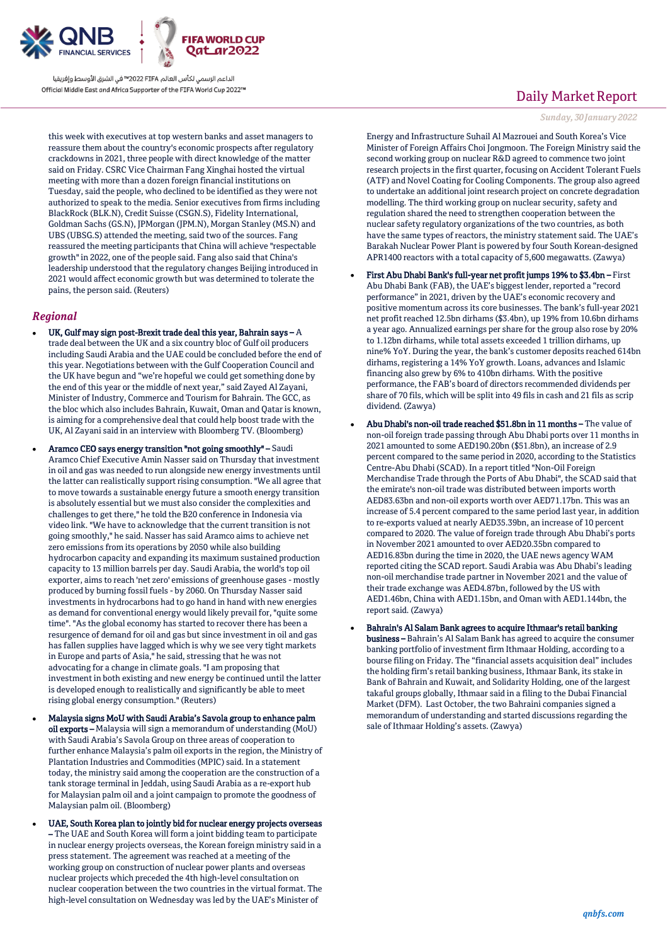

this week with executives at top western banks and asset managers to reassure them about the country's economic prospects after regulatory crackdowns in 2021, three people with direct knowledge of the matter said on Friday. CSRC Vice Chairman Fang Xinghai hosted the virtual meeting with more than a dozen foreign financial institutions on Tuesday, said the people, who declined to be identified as they were not authorized to speak to the media. Senior executives from firms including BlackRock (BLK.N), Credit Suisse (CSGN.S), Fidelity International, Goldman Sachs (GS.N), JPMorgan (JPM.N), Morgan Stanley (MS.N) and UBS (UBSG.S) attended the meeting, said two of the sources. Fang reassured the meeting participants that China will achieve "respectable growth" in 2022, one of the people said. Fang also said that China's leadership understood that the regulatory changes Beijing introduced in 2021 would affect economic growth but was determined to tolerate the pains, the person said. (Reuters)

### *Regional*

- UK, Gulf may sign post-Brexit trade deal this year, Bahrain says A trade deal between the UK and a six country bloc of Gulf oil producers including Saudi Arabia and the UAE could be concluded before the end of this year. Negotiations between with the Gulf Cooperation Council and the UK have begun and "we're hopeful we could get something done by the end of this year or the middle of next year," said Zayed Al Zayani, Minister of Industry, Commerce and Tourism for Bahrain. The GCC, as the bloc which also includes Bahrain, Kuwait, Oman and Qatar is known, is aiming for a comprehensive deal that could help boost trade with the UK, Al Zayani said in an interview with Bloomberg TV. (Bloomberg)
- Aramco CEO says energy transition "not going smoothly" Saudi Aramco Chief Executive Amin Nasser said on Thursday that investment in oil and gas was needed to run alongside new energy investments until the latter can realistically support rising consumption. "We all agree that to move towards a sustainable energy future a smooth energy transition is absolutely essential but we must also consider the complexities and challenges to get there," he told the B20 conference in Indonesia via video link. "We have to acknowledge that the current transition is not going smoothly," he said. Nasser has said Aramco aims to achieve net zero emissions from its operations by 2050 while also building hydrocarbon capacity and expanding its maximum sustained production capacity to 13 million barrels per day. Saudi Arabia, the world's top oil exporter, aims to reach 'net zero' emissions of greenhouse gases - mostly produced by burning fossil fuels - by 2060. On Thursday Nasser said investments in hydrocarbons had to go hand in hand with new energies as demand for conventional energy would likely prevail for, "quite some time". "As the global economy has started to recover there has been a resurgence of demand for oil and gas but since investment in oil and gas has fallen supplies have lagged which is why we see very tight markets in Europe and parts of Asia," he said, stressing that he was not advocating for a change in climate goals. "I am proposing that investment in both existing and new energy be continued until the latter is developed enough to realistically and significantly be able to meet rising global energy consumption." (Reuters)
- Malaysia signs MoU with Saudi Arabia's Savola group to enhance palm oil exports - Malaysia will sign a memorandum of understanding (MoU) with Saudi Arabia's Savola Group on three areas of cooperation to further enhance Malaysia's palm oil exports in the region, the Ministry of Plantation Industries and Commodities (MPIC) said. In a statement today, the ministry said among the cooperation are the construction of a tank storage terminal in Jeddah, using Saudi Arabia as a re-export hub for Malaysian palm oil and a joint campaign to promote the goodness of Malaysian palm oil. (Bloomberg)
- UAE, South Korea plan to jointly bid for nuclear energy projects overseas – The UAE and South Korea will form a joint bidding team to participate in nuclear energy projects overseas, the Korean foreign ministry said in a press statement. The agreement was reached at a meeting of the working group on construction of nuclear power plants and overseas nuclear projects which preceded the 4th high-level consultation on nuclear cooperation between the two countries in the virtual format. The high-level consultation on Wednesday was led by the UAE's Minister of

# Daily Market Report

*Sunday, 30January 2022*

Energy and Infrastructure Suhail Al Mazrouei and South Korea's Vice Minister of Foreign Affairs Choi Jongmoon. The Foreign Ministry said the second working group on nuclear R&D agreed to commence two joint research projects in the first quarter, focusing on Accident Tolerant Fuels (ATF) and Novel Coating for Cooling Components. The group also agreed to undertake an additional joint research project on concrete degradation modelling. The third working group on nuclear security, safety and regulation shared the need to strengthen cooperation between the nuclear safety regulatory organizations of the two countries, as both have the same types of reactors, the ministry statement said. The UAE's Barakah Nuclear Power Plant is powered by four South Korean-designed APR1400 reactors with a total capacity of 5,600 megawatts. (Zawya)

- First Abu Dhabi Bank's full-year net profit jumps 19% to \$3.4bn First Abu Dhabi Bank (FAB), the UAE's biggest lender, reported a "record performance" in 2021, driven by the UAE's economic recovery and positive momentum across its core businesses. The bank's full-year 2021 net profit reached 12.5bn dirhams (\$3.4bn), up 19% from 10.6bn dirhams a year ago. Annualized earnings per share for the group also rose by 20% to 1.12bn dirhams, while total assets exceeded 1 trillion dirhams, up nine% YoY. During the year, the bank's customer deposits reached 614bn dirhams, registering a 14% YoY growth. Loans, advances and Islamic financing also grew by 6% to 410bn dirhams. With the positive performance, the FAB's board of directors recommended dividends per share of 70 fils, which will be split into 49 fils in cash and 21 fils as scrip dividend. (Zawya)
- Abu Dhabi's non-oil trade reached \$51.8bn in 11 months The value of non-oil foreign trade passing through Abu Dhabi ports over 11 months in 2021 amounted to some AED190.20bn (\$51.8bn), an increase of 2.9 percent compared to the same period in 2020, according to the Statistics Centre-Abu Dhabi (SCAD). In a report titled "Non-Oil Foreign Merchandise Trade through the Ports of Abu Dhabi", the SCAD said that the emirate's non-oil trade was distributed between imports worth AED83.63bn and non-oil exports worth over AED71.17bn. This was an increase of 5.4 percent compared to the same period last year, in addition to re-exports valued at nearly AED35.39bn, an increase of 10 percent compared to 2020. The value of foreign trade through Abu Dhabi's ports in November 2021 amounted to over AED20.35bn compared to AED16.83bn during the time in 2020, the UAE news agency WAM reported citing the SCAD report. Saudi Arabia was Abu Dhabi's leading non-oil merchandise trade partner in November 2021 and the value of their trade exchange was AED4.87bn, followed by the US with AED1.46bn, China with AED1.15bn, and Oman with AED1.144bn, the report said. (Zawya)
- Bahrain's Al Salam Bank agrees to acquire Ithmaar's retail banking business – Bahrain's Al Salam Bank has agreed to acquire the consumer banking portfolio of investment firm Ithmaar Holding, according to a bourse filing on Friday. The "financial assets acquisition deal" includes the holding firm's retail banking business, Ithmaar Bank, its stake in Bank of Bahrain and Kuwait, and Solidarity Holding, one of the largest takaful groups globally, Ithmaar said in a filing to the Dubai Financial Market (DFM). Last October, the two Bahraini companies signed a memorandum of understanding and started discussions regarding the sale of Ithmaar Holding's assets. (Zawya)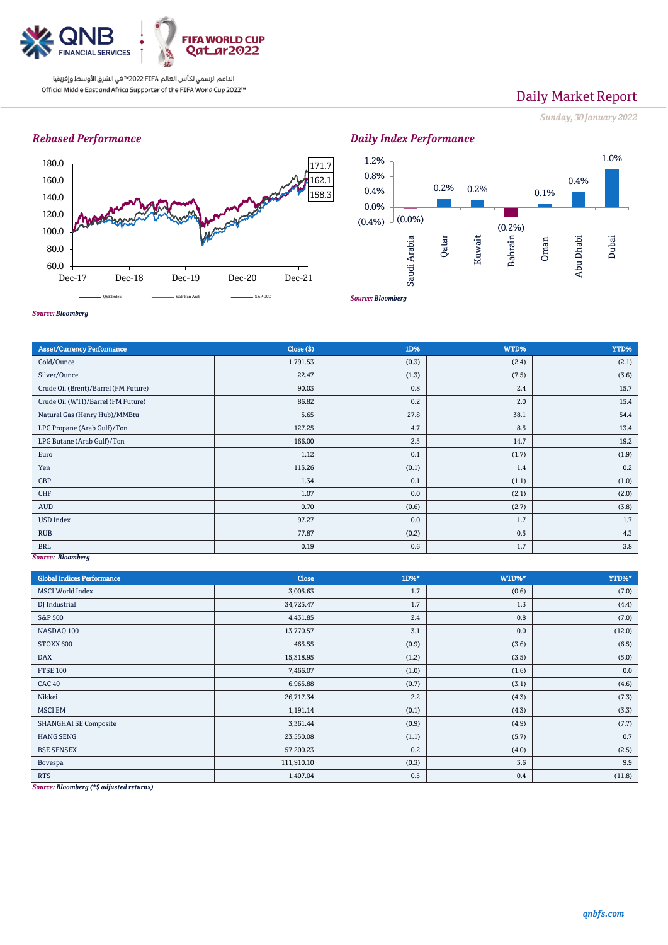

# Daily Market Report

*Sunday, 30January 2022*

## *Rebased Performance*





*Source: Bloomberg*

| <b>Asset/Currency Performance</b>    | Close ( \$) | 1D%   | WTD%  | YTD%  |  |  |
|--------------------------------------|-------------|-------|-------|-------|--|--|
| Gold/Ounce                           | 1,791.53    | (0.3) | (2.4) | (2.1) |  |  |
| Silver/Ounce                         | 22.47       | (1.3) | (7.5) | (3.6) |  |  |
| Crude Oil (Brent)/Barrel (FM Future) | 90.03       | 0.8   | 2.4   | 15.7  |  |  |
| Crude Oil (WTI)/Barrel (FM Future)   | 86.82       | 0.2   | 2.0   | 15.4  |  |  |
| Natural Gas (Henry Hub)/MMBtu        | 5.65        | 27.8  | 38.1  | 54.4  |  |  |
| LPG Propane (Arab Gulf)/Ton          | 127.25      | 4.7   | 8.5   | 13.4  |  |  |
| LPG Butane (Arab Gulf)/Ton           | 166.00      | 2.5   | 14.7  | 19.2  |  |  |
| Euro                                 | 1.12        | 0.1   | (1.7) | (1.9) |  |  |
| Yen                                  | 115.26      | (0.1) | 1.4   | 0.2   |  |  |
| GBP                                  | 1.34        | 0.1   | (1.1) | (1.0) |  |  |
| CHF                                  | 1.07        | 0.0   | (2.1) | (2.0) |  |  |
| AUD                                  | 0.70        | (0.6) | (2.7) | (3.8) |  |  |
| <b>USD Index</b>                     | 97.27       | 0.0   | 1.7   | 1.7   |  |  |
| <b>RUB</b>                           | 77.87       | (0.2) | 0.5   | 4.3   |  |  |
| <b>BRL</b>                           | 0.19        | 0.6   | 1.7   | 3.8   |  |  |
| Source: Bloomberg                    |             |       |       |       |  |  |

*Source: Bloomberg*

*Source: Bloomberg*

| <b>Global Indices Performance</b> | Close      | 1D%*  | WTD%* | YTD%*  |
|-----------------------------------|------------|-------|-------|--------|
| <b>MSCI World Index</b>           | 3,005.63   | 1.7   | (0.6) | (7.0)  |
| DJ Industrial                     | 34,725.47  | 1.7   | 1.3   | (4.4)  |
| <b>S&amp;P 500</b>                | 4,431.85   | 2.4   | 0.8   | (7.0)  |
| NASDAQ 100                        | 13,770.57  | 3.1   | 0.0   | (12.0) |
| STOXX 600                         | 465.55     | (0.9) | (3.6) | (6.5)  |
| <b>DAX</b>                        | 15,318.95  | (1.2) | (3.5) | (5.0)  |
| <b>FTSE 100</b>                   | 7,466.07   | (1.0) | (1.6) | 0.0    |
| <b>CAC 40</b>                     | 6,965.88   | (0.7) | (3.1) | (4.6)  |
| Nikkei                            | 26,717.34  | 2.2   | (4.3) | (7.3)  |
| <b>MSCI EM</b>                    | 1,191.14   | (0.1) | (4.3) | (3.3)  |
| <b>SHANGHAI SE Composite</b>      | 3,361.44   | (0.9) | (4.9) | (7.7)  |
| <b>HANG SENG</b>                  | 23,550.08  | (1.1) | (5.7) | 0.7    |
| <b>BSE SENSEX</b>                 | 57,200.23  | 0.2   | (4.0) | (2.5)  |
| Bovespa                           | 111,910.10 | (0.3) | 3.6   | 9.9    |
| <b>RTS</b>                        | 1,407.04   | 0.5   | 0.4   | (11.8) |

*Source: Bloomberg (\*\$ adjusted returns)*